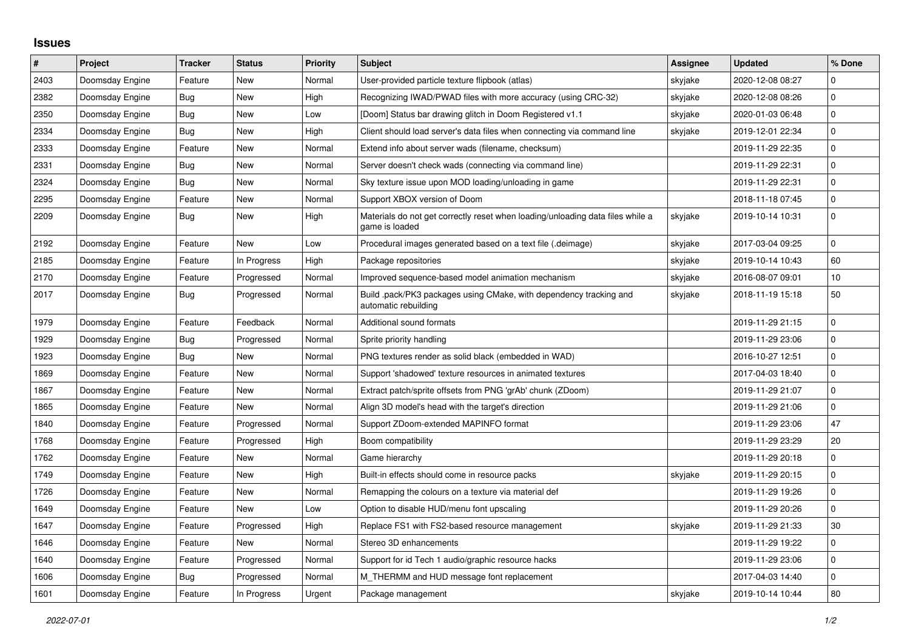## **Issues**

| $\vert$ # | Project         | <b>Tracker</b> | <b>Status</b> | <b>Priority</b> | <b>Subject</b>                                                                                   | Assignee | <b>Updated</b>   | % Done       |
|-----------|-----------------|----------------|---------------|-----------------|--------------------------------------------------------------------------------------------------|----------|------------------|--------------|
| 2403      | Doomsday Engine | Feature        | New           | Normal          | User-provided particle texture flipbook (atlas)                                                  | skyjake  | 2020-12-08 08:27 | 0            |
| 2382      | Doomsday Engine | Bug            | <b>New</b>    | High            | Recognizing IWAD/PWAD files with more accuracy (using CRC-32)                                    | skyjake  | 2020-12-08 08:26 | $\mathbf 0$  |
| 2350      | Doomsday Engine | <b>Bug</b>     | New           | Low             | [Doom] Status bar drawing glitch in Doom Registered v1.1                                         | skyjake  | 2020-01-03 06:48 | 0            |
| 2334      | Doomsday Engine | Bug            | <b>New</b>    | High            | Client should load server's data files when connecting via command line                          | skyjake  | 2019-12-01 22:34 | $\pmb{0}$    |
| 2333      | Doomsday Engine | Feature        | <b>New</b>    | Normal          | Extend info about server wads (filename, checksum)                                               |          | 2019-11-29 22:35 | $\pmb{0}$    |
| 2331      | Doomsday Engine | Bug            | <b>New</b>    | Normal          | Server doesn't check wads (connecting via command line)                                          |          | 2019-11-29 22:31 | $\pmb{0}$    |
| 2324      | Doomsday Engine | Bug            | <b>New</b>    | Normal          | Sky texture issue upon MOD loading/unloading in game                                             |          | 2019-11-29 22:31 | 0            |
| 2295      | Doomsday Engine | Feature        | New           | Normal          | Support XBOX version of Doom                                                                     |          | 2018-11-18 07:45 | $\mathbf 0$  |
| 2209      | Doomsday Engine | Bug            | <b>New</b>    | High            | Materials do not get correctly reset when loading/unloading data files while a<br>game is loaded | skyjake  | 2019-10-14 10:31 | $\mathbf{0}$ |
| 2192      | Doomsday Engine | Feature        | New           | Low             | Procedural images generated based on a text file (.deimage)                                      | skyjake  | 2017-03-04 09:25 | $\pmb{0}$    |
| 2185      | Doomsday Engine | Feature        | In Progress   | High            | Package repositories                                                                             | skyjake  | 2019-10-14 10:43 | 60           |
| 2170      | Doomsday Engine | Feature        | Progressed    | Normal          | Improved sequence-based model animation mechanism                                                | skyjake  | 2016-08-07 09:01 | 10           |
| 2017      | Doomsday Engine | Bug            | Progressed    | Normal          | Build pack/PK3 packages using CMake, with dependency tracking and<br>automatic rebuilding        | skyjake  | 2018-11-19 15:18 | 50           |
| 1979      | Doomsday Engine | Feature        | Feedback      | Normal          | Additional sound formats                                                                         |          | 2019-11-29 21:15 | $\pmb{0}$    |
| 1929      | Doomsday Engine | Bug            | Progressed    | Normal          | Sprite priority handling                                                                         |          | 2019-11-29 23:06 | 0            |
| 1923      | Doomsday Engine | <b>Bug</b>     | <b>New</b>    | Normal          | PNG textures render as solid black (embedded in WAD)                                             |          | 2016-10-27 12:51 | 0            |
| 1869      | Doomsday Engine | Feature        | New           | Normal          | Support 'shadowed' texture resources in animated textures                                        |          | 2017-04-03 18:40 | $\pmb{0}$    |
| 1867      | Doomsday Engine | Feature        | New           | Normal          | Extract patch/sprite offsets from PNG 'grAb' chunk (ZDoom)                                       |          | 2019-11-29 21:07 | $\pmb{0}$    |
| 1865      | Doomsday Engine | Feature        | <b>New</b>    | Normal          | Align 3D model's head with the target's direction                                                |          | 2019-11-29 21:06 | 0            |
| 1840      | Doomsday Engine | Feature        | Progressed    | Normal          | Support ZDoom-extended MAPINFO format                                                            |          | 2019-11-29 23:06 | 47           |
| 1768      | Doomsday Engine | Feature        | Progressed    | High            | Boom compatibility                                                                               |          | 2019-11-29 23:29 | 20           |
| 1762      | Doomsday Engine | Feature        | <b>New</b>    | Normal          | Game hierarchy                                                                                   |          | 2019-11-29 20:18 | 0            |
| 1749      | Doomsday Engine | Feature        | <b>New</b>    | High            | Built-in effects should come in resource packs                                                   | skyjake  | 2019-11-29 20:15 | $\mathbf{0}$ |
| 1726      | Doomsday Engine | Feature        | New           | Normal          | Remapping the colours on a texture via material def                                              |          | 2019-11-29 19:26 | $\pmb{0}$    |
| 1649      | Doomsday Engine | Feature        | New           | Low             | Option to disable HUD/menu font upscaling                                                        |          | 2019-11-29 20:26 | 0            |
| 1647      | Doomsday Engine | Feature        | Progressed    | High            | Replace FS1 with FS2-based resource management                                                   | skyjake  | 2019-11-29 21:33 | 30           |
| 1646      | Doomsday Engine | Feature        | New           | Normal          | Stereo 3D enhancements                                                                           |          | 2019-11-29 19:22 | $\pmb{0}$    |
| 1640      | Doomsday Engine | Feature        | Progressed    | Normal          | Support for id Tech 1 audio/graphic resource hacks                                               |          | 2019-11-29 23:06 | $\mathbf 0$  |
| 1606      | Doomsday Engine | Bug            | Progressed    | Normal          | M_THERMM and HUD message font replacement                                                        |          | 2017-04-03 14:40 | $\pmb{0}$    |
| 1601      | Doomsday Engine | Feature        | In Progress   | Urgent          | Package management                                                                               | skyjake  | 2019-10-14 10:44 | 80           |